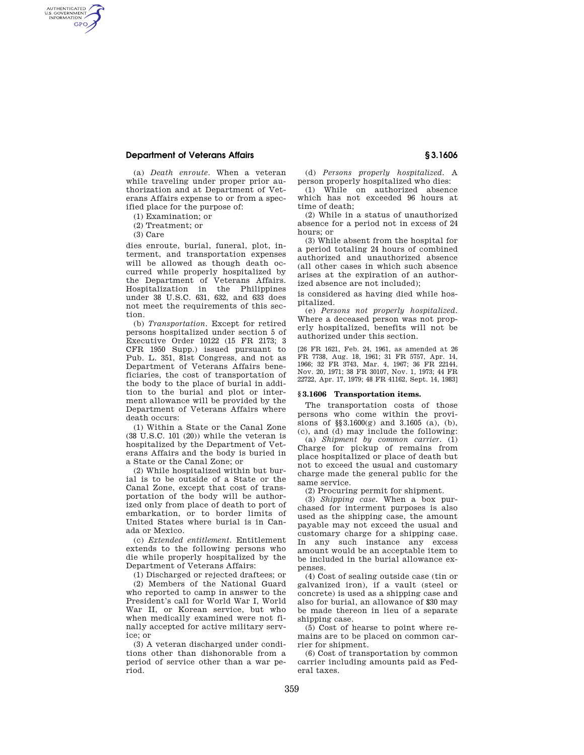# **Department of Veterans Affairs § 3.1606**

(a) *Death enroute.* When a veteran while traveling under proper prior authorization and at Department of Veterans Affairs expense to or from a specified place for the purpose of:

(1) Examination; or

(2) Treatment; or

(3) Care

AUTHENTICATED<br>U.S. GOVERNMENT<br>INFORMATION **GPO** 

> dies enroute, burial, funeral, plot, interment, and transportation expenses will be allowed as though death occurred while properly hospitalized by the Department of Veterans Affairs. Hospitalization in the Philippines under 38 U.S.C. 631, 632, and 633 does not meet the requirements of this section.

> (b) *Transportation.* Except for retired persons hospitalized under section 5 of Executive Order 10122 (15 FR 2173; 3 CFR 1950 Supp.) issued pursuant to Pub. L. 351, 81st Congress, and not as Department of Veterans Affairs beneficiaries, the cost of transportation of the body to the place of burial in addition to the burial and plot or interment allowance will be provided by the Department of Veterans Affairs where death occurs:

> (1) Within a State or the Canal Zone (38 U.S.C. 101 (20)) while the veteran is hospitalized by the Department of Veterans Affairs and the body is buried in a State or the Canal Zone; or

> (2) While hospitalized within but burial is to be outside of a State or the Canal Zone, except that cost of transportation of the body will be authorized only from place of death to port of embarkation, or to border limits of United States where burial is in Canada or Mexico.

> (c) *Extended entitlement.* Entitlement extends to the following persons who die while properly hospitalized by the Department of Veterans Affairs:

> (1) Discharged or rejected draftees; or (2) Members of the National Guard who reported to camp in answer to the President's call for World War I, World War II, or Korean service, but who when medically examined were not finally accepted for active military service; or

(3) A veteran discharged under conditions other than dishonorable from a period of service other than a war period.

(d) *Persons properly hospitalized.* A person properly hospitalized who dies:

(1) While on authorized absence which has not exceeded 96 hours at time of death;

(2) While in a status of unauthorized absence for a period not in excess of 24 hours; or

(3) While absent from the hospital for a period totaling 24 hours of combined authorized and unauthorized absence (all other cases in which such absence arises at the expiration of an authorized absence are not included);

is considered as having died while hospitalized.

(e) *Persons not properly hospitalized.*  Where a deceased person was not properly hospitalized, benefits will not be authorized under this section.

[26 FR 1621, Feb. 24, 1961, as amended at 26 FR 7738, Aug. 18, 1961; 31 FR 5757, Apr. 14, 1966; 32 FR 3743, Mar. 4, 1967; 36 FR 22144, Nov. 20, 1971; 38 FR 30107, Nov. 1, 1973; 44 FR 22722, Apr. 17, 1979; 48 FR 41162, Sept. 14, 1983]

#### **§ 3.1606 Transportation items.**

The transportation costs of those persons who come within the provisions of §§3.1600(g) and 3.1605 (a), (b), (c), and (d) may include the following:

(a) *Shipment by common carrier.* (1) Charge for pickup of remains from place hospitalized or place of death but not to exceed the usual and customary charge made the general public for the same service.

(2) Procuring permit for shipment.

(3) *Shipping case.* When a box purchased for interment purposes is also used as the shipping case, the amount payable may not exceed the usual and customary charge for a shipping case. In any such instance any excess amount would be an acceptable item to be included in the burial allowance expenses.

(4) Cost of sealing outside case (tin or galvanized iron), if a vault (steel or concrete) is used as a shipping case and also for burial, an allowance of \$30 may be made thereon in lieu of a separate shipping case.

(5) Cost of hearse to point where remains are to be placed on common carrier for shipment.

(6) Cost of transportation by common carrier including amounts paid as Federal taxes.